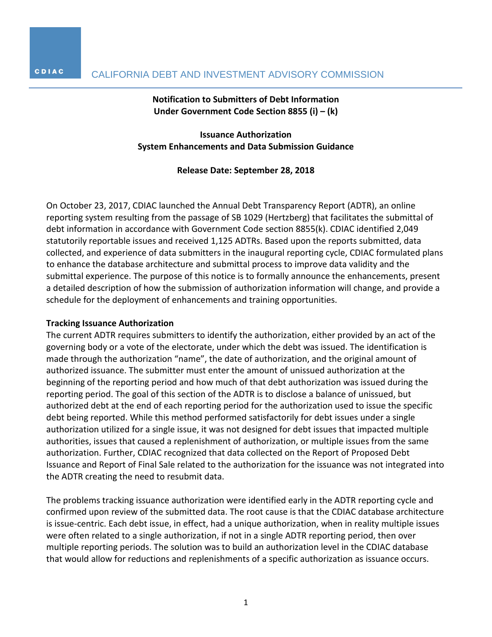## **Notification to Submitters of Debt Information Under Government Code Section 8855 (i) – (k)**

**Issuance Authorization System Enhancements and Data Submission Guidance**

#### **Release Date: September 28, 2018**

On October 23, 2017, CDIAC launched the Annual Debt Transparency Report (ADTR), an online reporting system resulting from the passage of SB 1029 (Hertzberg) that facilitates the submittal of debt information in accordance with Government Code section 8855(k). CDIAC identified 2,049 statutorily reportable issues and received 1,125 ADTRs. Based upon the reports submitted, data collected, and experience of data submitters in the inaugural reporting cycle, CDIAC formulated plans to enhance the database architecture and submittal process to improve data validity and the submittal experience. The purpose of this notice is to formally announce the enhancements, present a detailed description of how the submission of authorization information will change, and provide a schedule for the deployment of enhancements and training opportunities.

#### **Tracking Issuance Authorization**

The current ADTR requires submitters to identify the authorization, either provided by an act of the governing body or a vote of the electorate, under which the debt was issued. The identification is made through the authorization "name", the date of authorization, and the original amount of authorized issuance. The submitter must enter the amount of unissued authorization at the beginning of the reporting period and how much of that debt authorization was issued during the reporting period. The goal of this section of the ADTR is to disclose a balance of unissued, but authorized debt at the end of each reporting period for the authorization used to issue the specific debt being reported. While this method performed satisfactorily for debt issues under a single authorization utilized for a single issue, it was not designed for debt issues that impacted multiple authorities, issues that caused a replenishment of authorization, or multiple issues from the same authorization. Further, CDIAC recognized that data collected on the Report of Proposed Debt Issuance and Report of Final Sale related to the authorization for the issuance was not integrated into the ADTR creating the need to resubmit data.

The problems tracking issuance authorization were identified early in the ADTR reporting cycle and confirmed upon review of the submitted data. The root cause is that the CDIAC database architecture is issue-centric. Each debt issue, in effect, had a unique authorization, when in reality multiple issues were often related to a single authorization, if not in a single ADTR reporting period, then over multiple reporting periods. The solution was to build an authorization level in the CDIAC database that would allow for reductions and replenishments of a specific authorization as issuance occurs.

CDIAC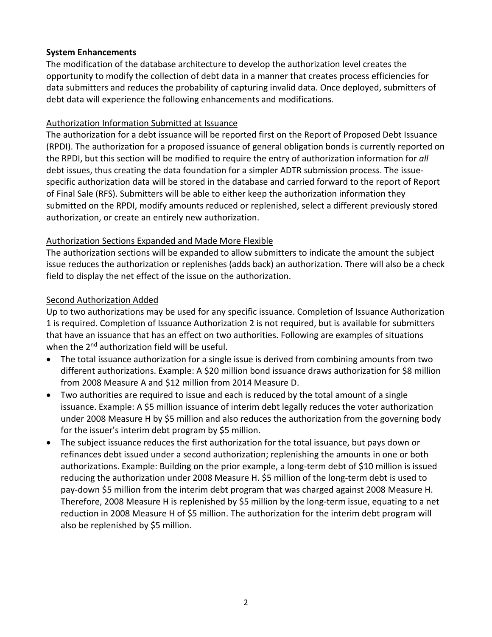## **System Enhancements**

The modification of the database architecture to develop the authorization level creates the opportunity to modify the collection of debt data in a manner that creates process efficiencies for data submitters and reduces the probability of capturing invalid data. Once deployed, submitters of debt data will experience the following enhancements and modifications.

## Authorization Information Submitted at Issuance

The authorization for a debt issuance will be reported first on the Report of Proposed Debt Issuance (RPDI). The authorization for a proposed issuance of general obligation bonds is currently reported on the RPDI, but this section will be modified to require the entry of authorization information for *all* debt issues, thus creating the data foundation for a simpler ADTR submission process. The issuespecific authorization data will be stored in the database and carried forward to the report of Report of Final Sale (RFS). Submitters will be able to either keep the authorization information they submitted on the RPDI, modify amounts reduced or replenished, select a different previously stored authorization, or create an entirely new authorization.

## Authorization Sections Expanded and Made More Flexible

The authorization sections will be expanded to allow submitters to indicate the amount the subject issue reduces the authorization or replenishes (adds back) an authorization. There will also be a check field to display the net effect of the issue on the authorization.

## Second Authorization Added

Up to two authorizations may be used for any specific issuance. Completion of Issuance Authorization 1 is required. Completion of Issuance Authorization 2 is not required, but is available for submitters that have an issuance that has an effect on two authorities. Following are examples of situations when the 2<sup>nd</sup> authorization field will be useful.

- The total issuance authorization for a single issue is derived from combining amounts from two different authorizations. Example: A \$20 million bond issuance draws authorization for \$8 million from 2008 Measure A and \$12 million from 2014 Measure D.
- Two authorities are required to issue and each is reduced by the total amount of a single issuance. Example: A \$5 million issuance of interim debt legally reduces the voter authorization under 2008 Measure H by \$5 million and also reduces the authorization from the governing body for the issuer's interim debt program by \$5 million.
- The subject issuance reduces the first authorization for the total issuance, but pays down or refinances debt issued under a second authorization; replenishing the amounts in one or both authorizations. Example: Building on the prior example, a long-term debt of \$10 million is issued reducing the authorization under 2008 Measure H. \$5 million of the long-term debt is used to pay-down \$5 million from the interim debt program that was charged against 2008 Measure H. Therefore, 2008 Measure H is replenished by \$5 million by the long-term issue, equating to a net reduction in 2008 Measure H of \$5 million. The authorization for the interim debt program will also be replenished by \$5 million.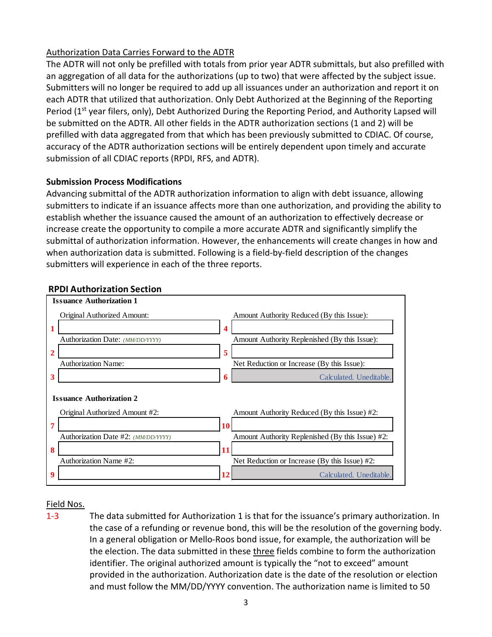# Authorization Data Carries Forward to the ADTR

The ADTR will not only be prefilled with totals from prior year ADTR submittals, but also prefilled with an aggregation of all data for the authorizations (up to two) that were affected by the subject issue. Submitters will no longer be required to add up all issuances under an authorization and report it on each ADTR that utilized that authorization. Only Debt Authorized at the Beginning of the Reporting Period (1<sup>st</sup> year filers, only), Debt Authorized During the Reporting Period, and Authority Lapsed will be submitted on the ADTR. All other fields in the ADTR authorization sections (1 and 2) will be prefilled with data aggregated from that which has been previously submitted to CDIAC. Of course, accuracy of the ADTR authorization sections will be entirely dependent upon timely and accurate submission of all CDIAC reports (RPDI, RFS, and ADTR).

## **Submission Process Modifications**

Advancing submittal of the ADTR authorization information to align with debt issuance, allowing submitters to indicate if an issuance affects more than one authorization, and providing the ability to establish whether the issuance caused the amount of an authorization to effectively decrease or increase create the opportunity to compile a more accurate ADTR and significantly simplify the submittal of authorization information. However, the enhancements will create changes in how and when authorization data is submitted. Following is a field-by-field description of the changes submitters will experience in each of the three reports.



### **RPDI Authorization Section**

### Field Nos.

1-3 The data submitted for Authorization 1 is that for the issuance's primary authorization. In the case of a refunding or revenue bond, this will be the resolution of the governing body. In a general obligation or Mello-Roos bond issue, for example, the authorization will be the election. The data submitted in these three fields combine to form the authorization identifier. The original authorized amount is typically the "not to exceed" amount provided in the authorization. Authorization date is the date of the resolution or election and must follow the MM/DD/YYYY convention. The authorization name is limited to 50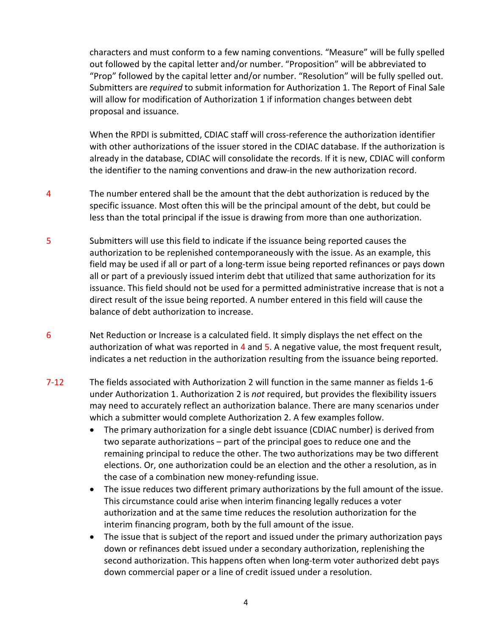characters and must conform to a few naming conventions. "Measure" will be fully spelled out followed by the capital letter and/or number. "Proposition" will be abbreviated to "Prop" followed by the capital letter and/or number. "Resolution" will be fully spelled out. Submitters are *required* to submit information for Authorization 1. The Report of Final Sale will allow for modification of Authorization 1 if information changes between debt proposal and issuance.

When the RPDI is submitted, CDIAC staff will cross-reference the authorization identifier with other authorizations of the issuer stored in the CDIAC database. If the authorization is already in the database, CDIAC will consolidate the records. If it is new, CDIAC will conform the identifier to the naming conventions and draw-in the new authorization record.

- 4 The number entered shall be the amount that the debt authorization is reduced by the specific issuance. Most often this will be the principal amount of the debt, but could be less than the total principal if the issue is drawing from more than one authorization.
- 5 Submitters will use this field to indicate if the issuance being reported causes the authorization to be replenished contemporaneously with the issue. As an example, this field may be used if all or part of a long-term issue being reported refinances or pays down all or part of a previously issued interim debt that utilized that same authorization for its issuance. This field should not be used for a permitted administrative increase that is not a direct result of the issue being reported. A number entered in this field will cause the balance of debt authorization to increase.
- 6 Net Reduction or Increase is a calculated field. It simply displays the net effect on the authorization of what was reported in  $4$  and  $5$ . A negative value, the most frequent result, indicates a net reduction in the authorization resulting from the issuance being reported.
- 7-12 The fields associated with Authorization 2 will function in the same manner as fields 1-6 under Authorization 1. Authorization 2 is *not* required, but provides the flexibility issuers may need to accurately reflect an authorization balance. There are many scenarios under which a submitter would complete Authorization 2. A few examples follow.
	- The primary authorization for a single debt issuance (CDIAC number) is derived from two separate authorizations – part of the principal goes to reduce one and the remaining principal to reduce the other. The two authorizations may be two different elections. Or, one authorization could be an election and the other a resolution, as in the case of a combination new money-refunding issue.
	- The issue reduces two different primary authorizations by the full amount of the issue. This circumstance could arise when interim financing legally reduces a voter authorization and at the same time reduces the resolution authorization for the interim financing program, both by the full amount of the issue.
	- The issue that is subject of the report and issued under the primary authorization pays down or refinances debt issued under a secondary authorization, replenishing the second authorization. This happens often when long-term voter authorized debt pays down commercial paper or a line of credit issued under a resolution.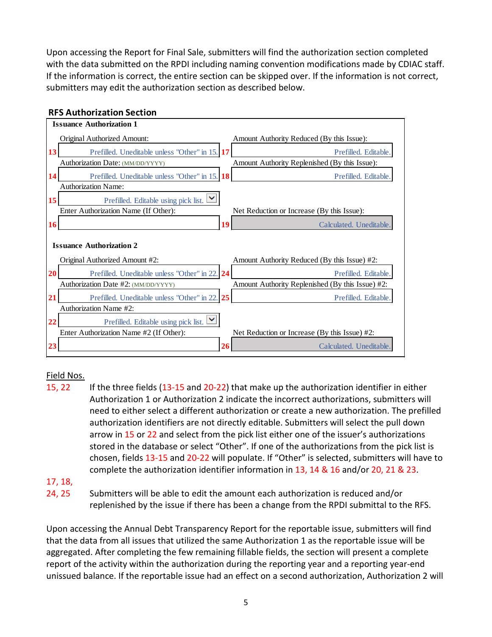Upon accessing the Report for Final Sale, submitters will find the authorization section completed with the data submitted on the RPDI including naming convention modifications made by CDIAC staff. If the information is correct, the entire section can be skipped over. If the information is not correct, submitters may edit the authorization section as described below.



## Field Nos.

15, 22 If the three fields (13-15 and 20-22) that make up the authorization identifier in either Authorization 1 or Authorization 2 indicate the incorrect authorizations, submitters will need to either select a different authorization or create a new authorization. The prefilled authorization identifiers are not directly editable. Submitters will select the pull down arrow in 15 or 22 and select from the pick list either one of the issuer's authorizations stored in the database or select "Other". If one of the authorizations from the pick list is chosen, fields 13-15 and 20-22 will populate. If "Other" is selected, submitters will have to complete the authorization identifier information in 13, 14 & 16 and/or 20, 21 & 23.

## 17, 18,

24, 25 Submitters will be able to edit the amount each authorization is reduced and/or replenished by the issue if there has been a change from the RPDI submittal to the RFS.

Upon accessing the Annual Debt Transparency Report for the reportable issue, submitters will find that the data from all issues that utilized the same Authorization 1 as the reportable issue will be aggregated. After completing the few remaining fillable fields, the section will present a complete report of the activity within the authorization during the reporting year and a reporting year-end unissued balance. If the reportable issue had an effect on a second authorization, Authorization 2 will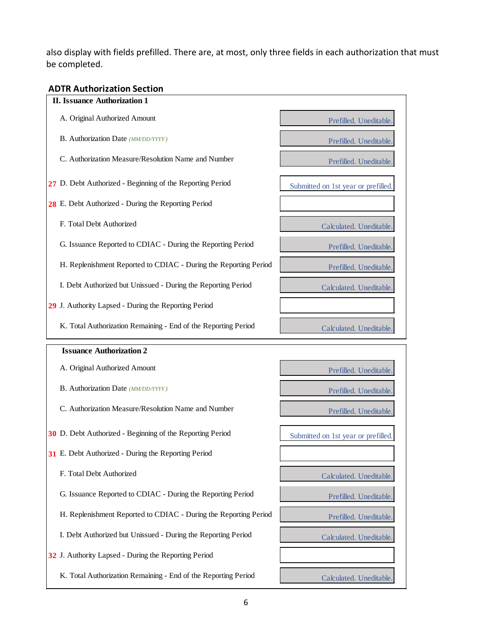also display with fields prefilled. There are, at most, only three fields in each authorization that must be completed.

# **ADTR Authorization Section**

| <b>II. Issuance Authorization 1</b>                              |                                    |
|------------------------------------------------------------------|------------------------------------|
| A. Original Authorized Amount                                    | Prefilled. Uneditable              |
| B. Authorization Date (MM/DD/YYYY)                               | Prefilled. Uneditable.             |
| C. Authorization Measure/Resolution Name and Number              | Prefilled. Uneditable.             |
| 27 D. Debt Authorized - Beginning of the Reporting Period        | Submitted on 1st year or prefilled |
| 28 E. Debt Authorized - During the Reporting Period              |                                    |
| F. Total Debt Authorized                                         | Calculated. Uneditable.            |
| G. Issuance Reported to CDIAC - During the Reporting Period      | Prefilled. Uneditable              |
| H. Replenishment Reported to CDIAC - During the Reporting Period | Prefilled. Uneditable.             |
| I. Debt Authorized but Unissued - During the Reporting Period    | Calculated. Uneditable             |
| 29 J. Authority Lapsed - During the Reporting Period             |                                    |
| K. Total Authorization Remaining - End of the Reporting Period   | Calculated. Uneditable.            |
|                                                                  |                                    |
| <b>Issuance Authorization 2</b>                                  |                                    |
| A. Original Authorized Amount                                    | Prefilled. Uneditable.             |
| B. Authorization Date (MM/DD/YYYY)                               | Prefilled. Uneditable.             |
| C. Authorization Measure/Resolution Name and Number              | Prefilled. Uneditable.             |
| 30 D. Debt Authorized - Beginning of the Reporting Period        | Submitted on 1st year or prefilled |
| 31 E. Debt Authorized - During the Reporting Period              |                                    |
| F. Total Debt Authorized                                         | Calculated. Uneditable             |
| G. Issuance Reported to CDIAC - During the Reporting Period      | Prefilled. Uneditable.             |
| H. Replenishment Reported to CDIAC - During the Reporting Period | Prefilled. Uneditable.             |
| I. Debt Authorized but Unissued - During the Reporting Period    | Calculated. Uneditable.            |
| 32 J. Authority Lapsed - During the Reporting Period             |                                    |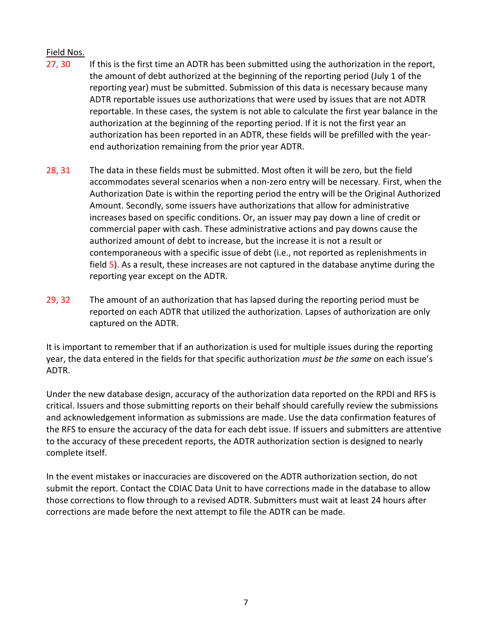## Field Nos.

- 27, 30 If this is the first time an ADTR has been submitted using the authorization in the report, the amount of debt authorized at the beginning of the reporting period (July 1 of the reporting year) must be submitted. Submission of this data is necessary because many ADTR reportable issues use authorizations that were used by issues that are not ADTR reportable. In these cases, the system is not able to calculate the first year balance in the authorization at the beginning of the reporting period. If it is not the first year an authorization has been reported in an ADTR, these fields will be prefilled with the yearend authorization remaining from the prior year ADTR.
- 28, 31 The data in these fields must be submitted. Most often it will be zero, but the field accommodates several scenarios when a non-zero entry will be necessary. First, when the Authorization Date is within the reporting period the entry will be the Original Authorized Amount. Secondly, some issuers have authorizations that allow for administrative increases based on specific conditions. Or, an issuer may pay down a line of credit or commercial paper with cash. These administrative actions and pay downs cause the authorized amount of debt to increase, but the increase it is not a result or contemporaneous with a specific issue of debt (i.e., not reported as replenishments in field 5). As a result, these increases are not captured in the database anytime during the reporting year except on the ADTR.
- 29, 32 The amount of an authorization that has lapsed during the reporting period must be reported on each ADTR that utilized the authorization. Lapses of authorization are only captured on the ADTR.

It is important to remember that if an authorization is used for multiple issues during the reporting year, the data entered in the fields for that specific authorization *must be the same* on each issue's ADTR.

Under the new database design, accuracy of the authorization data reported on the RPDI and RFS is critical. Issuers and those submitting reports on their behalf should carefully review the submissions and acknowledgement information as submissions are made. Use the data confirmation features of the RFS to ensure the accuracy of the data for each debt issue. If issuers and submitters are attentive to the accuracy of these precedent reports, the ADTR authorization section is designed to nearly complete itself.

In the event mistakes or inaccuracies are discovered on the ADTR authorization section, do not submit the report. Contact the CDIAC Data Unit to have corrections made in the database to allow those corrections to flow through to a revised ADTR. Submitters must wait at least 24 hours after corrections are made before the next attempt to file the ADTR can be made.